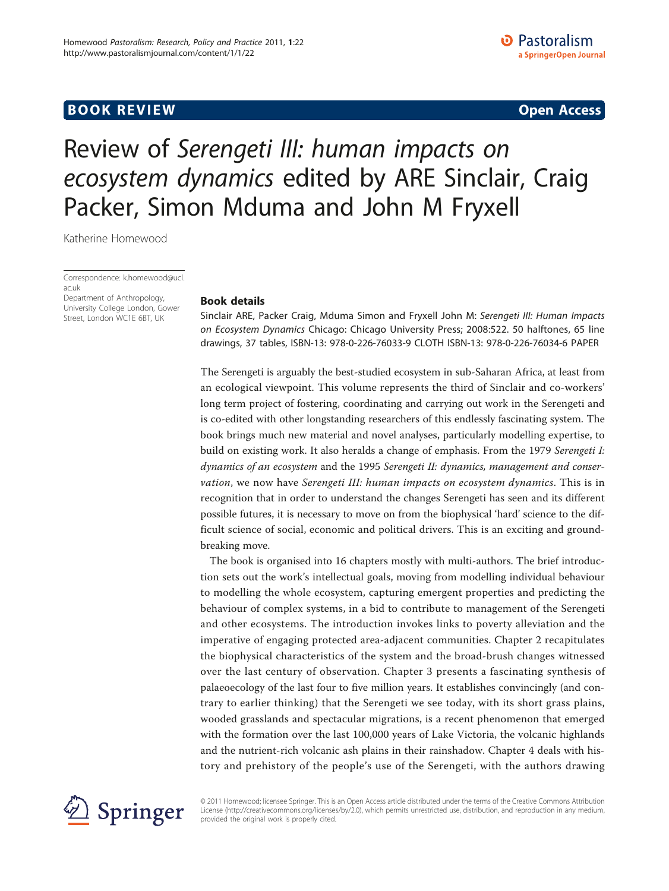## **BOOK REVIEW CONTROL** BOOK REVIEW

# Review of Serengeti III: human impacts on ecosystem dynamics edited by ARE Sinclair, Craig Packer, Simon Mduma and John M Fryxell

Katherine Homewood

Correspondence: [k.homewood@ucl.](mailto:k.homewood@ucl.ac.uk) [ac.uk](mailto:k.homewood@ucl.ac.uk)

Department of Anthropology, University College London, Gower Street, London WC1E 6BT, UK

## Book details

Sinclair ARE, Packer Craig, Mduma Simon and Fryxell John M: Serengeti III: Human Impacts on Ecosystem Dynamics Chicago: Chicago University Press; 2008:522. 50 halftones, 65 line drawings, 37 tables, ISBN-13: 978-0-226-76033-9 CLOTH ISBN-13: 978-0-226-76034-6 PAPER

The Serengeti is arguably the best-studied ecosystem in sub-Saharan Africa, at least from an ecological viewpoint. This volume represents the third of Sinclair and co-workers' long term project of fostering, coordinating and carrying out work in the Serengeti and is co-edited with other longstanding researchers of this endlessly fascinating system. The book brings much new material and novel analyses, particularly modelling expertise, to build on existing work. It also heralds a change of emphasis. From the 1979 Serengeti I: dynamics of an ecosystem and the 1995 Serengeti II: dynamics, management and conservation, we now have Serengeti III: human impacts on ecosystem dynamics. This is in recognition that in order to understand the changes Serengeti has seen and its different possible futures, it is necessary to move on from the biophysical 'hard' science to the difficult science of social, economic and political drivers. This is an exciting and groundbreaking move.

The book is organised into 16 chapters mostly with multi-authors. The brief introduction sets out the work's intellectual goals, moving from modelling individual behaviour to modelling the whole ecosystem, capturing emergent properties and predicting the behaviour of complex systems, in a bid to contribute to management of the Serengeti and other ecosystems. The introduction invokes links to poverty alleviation and the imperative of engaging protected area-adjacent communities. Chapter 2 recapitulates the biophysical characteristics of the system and the broad-brush changes witnessed over the last century of observation. Chapter 3 presents a fascinating synthesis of palaeoecology of the last four to five million years. It establishes convincingly (and contrary to earlier thinking) that the Serengeti we see today, with its short grass plains, wooded grasslands and spectacular migrations, is a recent phenomenon that emerged with the formation over the last 100,000 years of Lake Victoria, the volcanic highlands and the nutrient-rich volcanic ash plains in their rainshadow. Chapter 4 deals with history and prehistory of the people's use of the Serengeti, with the authors drawing



© 2011 Homewood; licensee Springer. This is an Open Access article distributed under the terms of the Creative Commons Attribution License [\(http://creativecommons.org/licenses/by/2.0](http://creativecommons.org/licenses/by/2.0)), which permits unrestricted use, distribution, and reproduction in any medium, provided the original work is properly cited.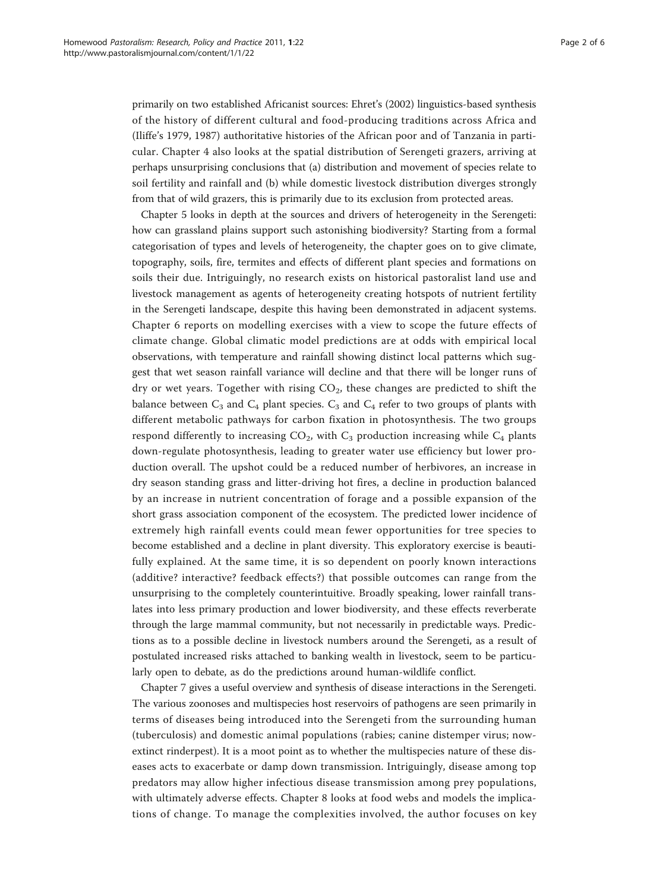primarily on two established Africanist sources: Ehret'[s \(2002\)](#page-5-0) linguistics-based synthesis of the history of different cultural and food-producing traditions across Africa and (Iliffe'[s 1979](#page-5-0), [1987\)](#page-5-0) authoritative histories of the African poor and of Tanzania in particular. Chapter 4 also looks at the spatial distribution of Serengeti grazers, arriving at perhaps unsurprising conclusions that (a) distribution and movement of species relate to soil fertility and rainfall and (b) while domestic livestock distribution diverges strongly from that of wild grazers, this is primarily due to its exclusion from protected areas.

Chapter 5 looks in depth at the sources and drivers of heterogeneity in the Serengeti: how can grassland plains support such astonishing biodiversity? Starting from a formal categorisation of types and levels of heterogeneity, the chapter goes on to give climate, topography, soils, fire, termites and effects of different plant species and formations on soils their due. Intriguingly, no research exists on historical pastoralist land use and livestock management as agents of heterogeneity creating hotspots of nutrient fertility in the Serengeti landscape, despite this having been demonstrated in adjacent systems. Chapter 6 reports on modelling exercises with a view to scope the future effects of climate change. Global climatic model predictions are at odds with empirical local observations, with temperature and rainfall showing distinct local patterns which suggest that wet season rainfall variance will decline and that there will be longer runs of dry or wet years. Together with rising  $CO<sub>2</sub>$ , these changes are predicted to shift the balance between  $C_3$  and  $C_4$  plant species.  $C_3$  and  $C_4$  refer to two groups of plants with different metabolic pathways for carbon fixation in photosynthesis. The two groups respond differently to increasing  $CO<sub>2</sub>$ , with  $C<sub>3</sub>$  production increasing while  $C<sub>4</sub>$  plants down-regulate photosynthesis, leading to greater water use efficiency but lower production overall. The upshot could be a reduced number of herbivores, an increase in dry season standing grass and litter-driving hot fires, a decline in production balanced by an increase in nutrient concentration of forage and a possible expansion of the short grass association component of the ecosystem. The predicted lower incidence of extremely high rainfall events could mean fewer opportunities for tree species to become established and a decline in plant diversity. This exploratory exercise is beautifully explained. At the same time, it is so dependent on poorly known interactions (additive? interactive? feedback effects?) that possible outcomes can range from the unsurprising to the completely counterintuitive. Broadly speaking, lower rainfall translates into less primary production and lower biodiversity, and these effects reverberate through the large mammal community, but not necessarily in predictable ways. Predictions as to a possible decline in livestock numbers around the Serengeti, as a result of postulated increased risks attached to banking wealth in livestock, seem to be particularly open to debate, as do the predictions around human-wildlife conflict.

Chapter 7 gives a useful overview and synthesis of disease interactions in the Serengeti. The various zoonoses and multispecies host reservoirs of pathogens are seen primarily in terms of diseases being introduced into the Serengeti from the surrounding human (tuberculosis) and domestic animal populations (rabies; canine distemper virus; nowextinct rinderpest). It is a moot point as to whether the multispecies nature of these diseases acts to exacerbate or damp down transmission. Intriguingly, disease among top predators may allow higher infectious disease transmission among prey populations, with ultimately adverse effects. Chapter 8 looks at food webs and models the implications of change. To manage the complexities involved, the author focuses on key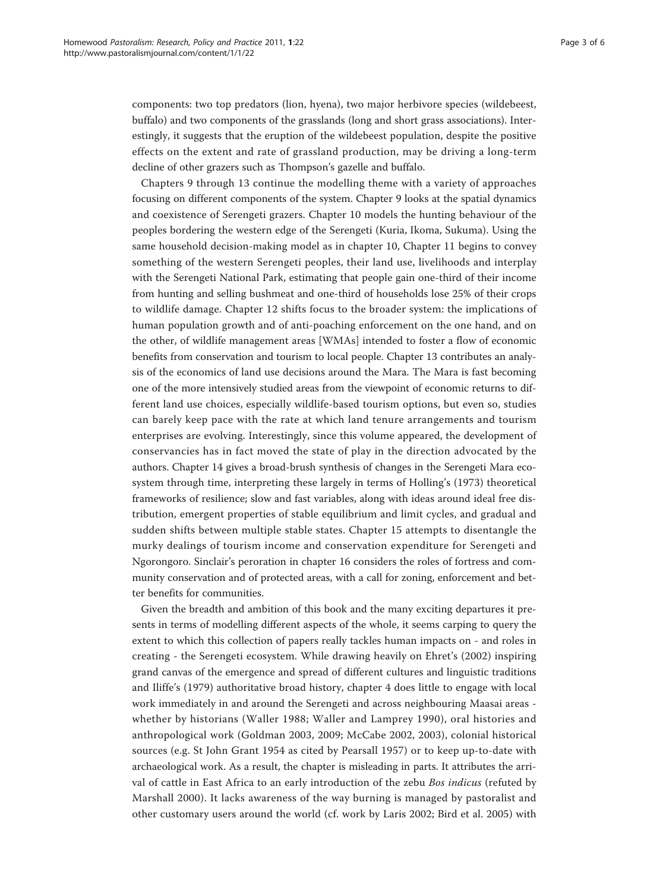components: two top predators (lion, hyena), two major herbivore species (wildebeest, buffalo) and two components of the grasslands (long and short grass associations). Interestingly, it suggests that the eruption of the wildebeest population, despite the positive effects on the extent and rate of grassland production, may be driving a long-term decline of other grazers such as Thompson's gazelle and buffalo.

Chapters 9 through 13 continue the modelling theme with a variety of approaches focusing on different components of the system. Chapter 9 looks at the spatial dynamics and coexistence of Serengeti grazers. Chapter 10 models the hunting behaviour of the peoples bordering the western edge of the Serengeti (Kuria, Ikoma, Sukuma). Using the same household decision-making model as in chapter 10, Chapter 11 begins to convey something of the western Serengeti peoples, their land use, livelihoods and interplay with the Serengeti National Park, estimating that people gain one-third of their income from hunting and selling bushmeat and one-third of households lose 25% of their crops to wildlife damage. Chapter 12 shifts focus to the broader system: the implications of human population growth and of anti-poaching enforcement on the one hand, and on the other, of wildlife management areas [WMAs] intended to foster a flow of economic benefits from conservation and tourism to local people. Chapter 13 contributes an analysis of the economics of land use decisions around the Mara. The Mara is fast becoming one of the more intensively studied areas from the viewpoint of economic returns to different land use choices, especially wildlife-based tourism options, but even so, studies can barely keep pace with the rate at which land tenure arrangements and tourism enterprises are evolving. Interestingly, since this volume appeared, the development of conservancies has in fact moved the state of play in the direction advocated by the authors. Chapter 14 gives a broad-brush synthesis of changes in the Serengeti Mara ecosystem through time, interpreting these largely in terms of Holling'[s \(1973\)](#page-5-0) theoretical frameworks of resilience; slow and fast variables, along with ideas around ideal free distribution, emergent properties of stable equilibrium and limit cycles, and gradual and sudden shifts between multiple stable states. Chapter 15 attempts to disentangle the murky dealings of tourism income and conservation expenditure for Serengeti and Ngorongoro. Sinclair's peroration in chapter 16 considers the roles of fortress and community conservation and of protected areas, with a call for zoning, enforcement and better benefits for communities.

Given the breadth and ambition of this book and the many exciting departures it presents in terms of modelling different aspects of the whole, it seems carping to query the extent to which this collection of papers really tackles human impacts on - and roles in creating - the Serengeti ecosystem. While drawing heavily on Ehret'[s \(2002\)](#page-5-0) inspiring grand canvas of the emergence and spread of different cultures and linguistic traditions and Iliffe'[s \(1979\)](#page-5-0) authoritative broad history, chapter 4 does little to engage with local work immediately in and around the Serengeti and across neighbouring Maasai areas whether by historians ([Waller 1988; Waller and Lamprey 1990](#page-5-0)), oral histories and anthropological work ([Goldman 2003, 2009](#page-5-0); [McCabe 2002](#page-5-0), [2003\)](#page-5-0), colonial historical sources (e.g. St John Grant 1954 as cited by [Pearsall 1957\)](#page-5-0) or to keep up-to-date with archaeological work. As a result, the chapter is misleading in parts. It attributes the arrival of cattle in East Africa to an early introduction of the zebu Bos indicus (refuted by [Marshall 2000\)](#page-5-0). It lacks awareness of the way burning is managed by pastoralist and other customary users around the world (cf. work by [Laris 2002; Bird et al. 2005](#page-5-0)) with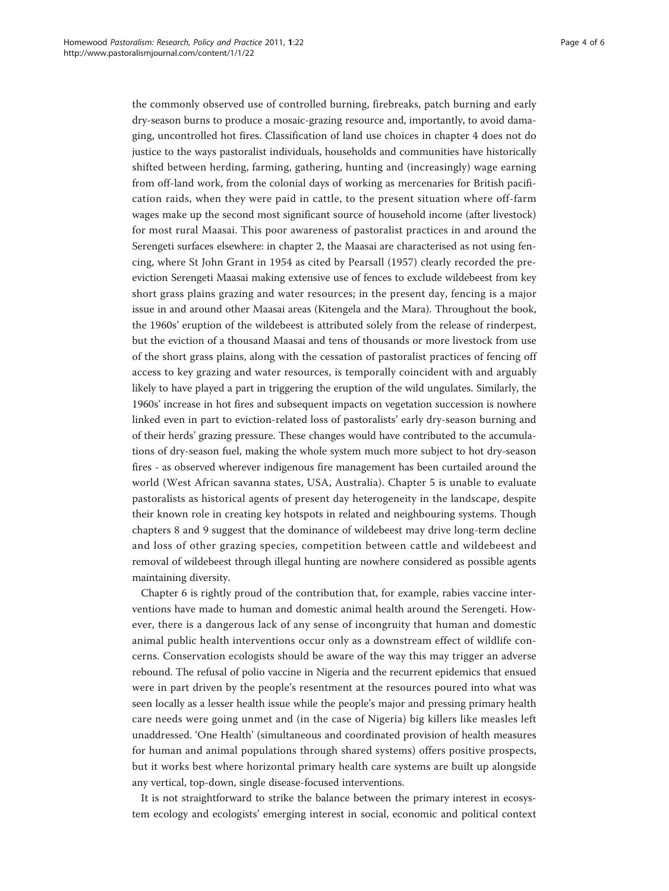the commonly observed use of controlled burning, firebreaks, patch burning and early dry-season burns to produce a mosaic-grazing resource and, importantly, to avoid damaging, uncontrolled hot fires. Classification of land use choices in chapter 4 does not do justice to the ways pastoralist individuals, households and communities have historically shifted between herding, farming, gathering, hunting and (increasingly) wage earning from off-land work, from the colonial days of working as mercenaries for British pacification raids, when they were paid in cattle, to the present situation where off-farm wages make up the second most significant source of household income (after livestock) for most rural Maasai. This poor awareness of pastoralist practices in and around the Serengeti surfaces elsewhere: in chapter 2, the Maasai are characterised as not using fencing, where St John Grant in 1954 as cited by [Pearsall \(1957\)](#page-5-0) clearly recorded the preeviction Serengeti Maasai making extensive use of fences to exclude wildebeest from key short grass plains grazing and water resources; in the present day, fencing is a major issue in and around other Maasai areas (Kitengela and the Mara). Throughout the book, the 1960s' eruption of the wildebeest is attributed solely from the release of rinderpest, but the eviction of a thousand Maasai and tens of thousands or more livestock from use of the short grass plains, along with the cessation of pastoralist practices of fencing off access to key grazing and water resources, is temporally coincident with and arguably likely to have played a part in triggering the eruption of the wild ungulates. Similarly, the 1960s' increase in hot fires and subsequent impacts on vegetation succession is nowhere linked even in part to eviction-related loss of pastoralists' early dry-season burning and of their herds' grazing pressure. These changes would have contributed to the accumulations of dry-season fuel, making the whole system much more subject to hot dry-season fires - as observed wherever indigenous fire management has been curtailed around the world (West African savanna states, USA, Australia). Chapter 5 is unable to evaluate pastoralists as historical agents of present day heterogeneity in the landscape, despite their known role in creating key hotspots in related and neighbouring systems. Though chapters 8 and 9 suggest that the dominance of wildebeest may drive long-term decline and loss of other grazing species, competition between cattle and wildebeest and removal of wildebeest through illegal hunting are nowhere considered as possible agents maintaining diversity.

Chapter 6 is rightly proud of the contribution that, for example, rabies vaccine interventions have made to human and domestic animal health around the Serengeti. However, there is a dangerous lack of any sense of incongruity that human and domestic animal public health interventions occur only as a downstream effect of wildlife concerns. Conservation ecologists should be aware of the way this may trigger an adverse rebound. The refusal of polio vaccine in Nigeria and the recurrent epidemics that ensued were in part driven by the people's resentment at the resources poured into what was seen locally as a lesser health issue while the people's major and pressing primary health care needs were going unmet and (in the case of Nigeria) big killers like measles left unaddressed. 'One Health' (simultaneous and coordinated provision of health measures for human and animal populations through shared systems) offers positive prospects, but it works best where horizontal primary health care systems are built up alongside any vertical, top-down, single disease-focused interventions.

It is not straightforward to strike the balance between the primary interest in ecosystem ecology and ecologists' emerging interest in social, economic and political context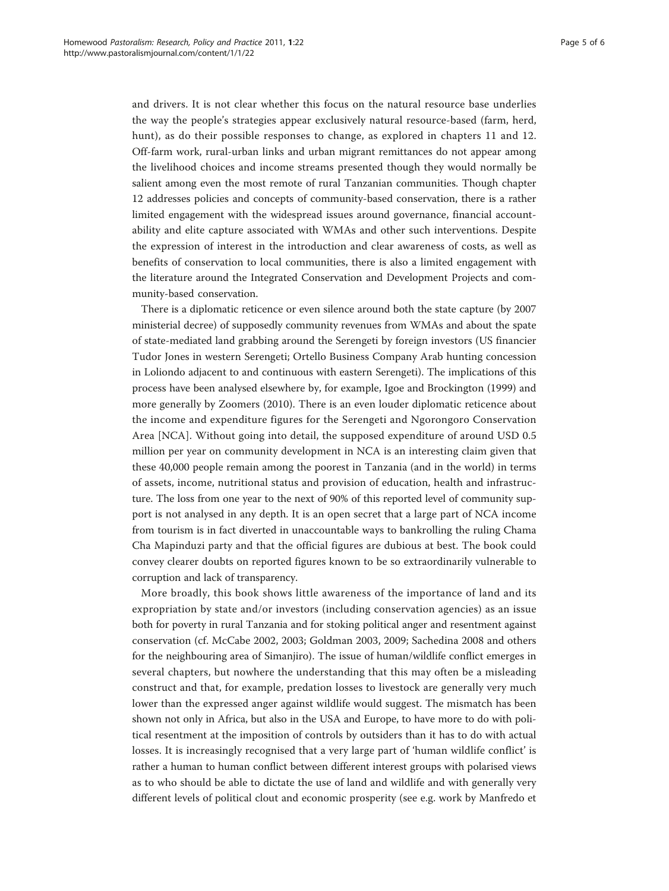and drivers. It is not clear whether this focus on the natural resource base underlies the way the people's strategies appear exclusively natural resource-based (farm, herd, hunt), as do their possible responses to change, as explored in chapters 11 and 12. Off-farm work, rural-urban links and urban migrant remittances do not appear among the livelihood choices and income streams presented though they would normally be salient among even the most remote of rural Tanzanian communities. Though chapter 12 addresses policies and concepts of community-based conservation, there is a rather limited engagement with the widespread issues around governance, financial accountability and elite capture associated with WMAs and other such interventions. Despite the expression of interest in the introduction and clear awareness of costs, as well as benefits of conservation to local communities, there is also a limited engagement with the literature around the Integrated Conservation and Development Projects and community-based conservation.

There is a diplomatic reticence or even silence around both the state capture (by 2007 ministerial decree) of supposedly community revenues from WMAs and about the spate of state-mediated land grabbing around the Serengeti by foreign investors (US financier Tudor Jones in western Serengeti; Ortello Business Company Arab hunting concession in Loliondo adjacent to and continuous with eastern Serengeti). The implications of this process have been analysed elsewhere by, for example, [Igoe and Brockington \(1999\)](#page-5-0) and more generally by [Zoomers \(2010\).](#page-5-0) There is an even louder diplomatic reticence about the income and expenditure figures for the Serengeti and Ngorongoro Conservation Area [NCA]. Without going into detail, the supposed expenditure of around USD 0.5 million per year on community development in NCA is an interesting claim given that these 40,000 people remain among the poorest in Tanzania (and in the world) in terms of assets, income, nutritional status and provision of education, health and infrastructure. The loss from one year to the next of 90% of this reported level of community support is not analysed in any depth. It is an open secret that a large part of NCA income from tourism is in fact diverted in unaccountable ways to bankrolling the ruling Chama Cha Mapinduzi party and that the official figures are dubious at best. The book could convey clearer doubts on reported figures known to be so extraordinarily vulnerable to corruption and lack of transparency.

More broadly, this book shows little awareness of the importance of land and its expropriation by state and/or investors (including conservation agencies) as an issue both for poverty in rural Tanzania and for stoking political anger and resentment against conservation (cf. [McCabe 2002, 2003; Goldman 2003, 2009; Sachedina 2008](#page-5-0) and others for the neighbouring area of Simanjiro). The issue of human/wildlife conflict emerges in several chapters, but nowhere the understanding that this may often be a misleading construct and that, for example, predation losses to livestock are generally very much lower than the expressed anger against wildlife would suggest. The mismatch has been shown not only in Africa, but also in the USA and Europe, to have more to do with political resentment at the imposition of controls by outsiders than it has to do with actual losses. It is increasingly recognised that a very large part of 'human wildlife conflict' is rather a human to human conflict between different interest groups with polarised views as to who should be able to dictate the use of land and wildlife and with generally very different levels of political clout and economic prosperity (see e.g. work by [Manfredo et](#page-5-0)